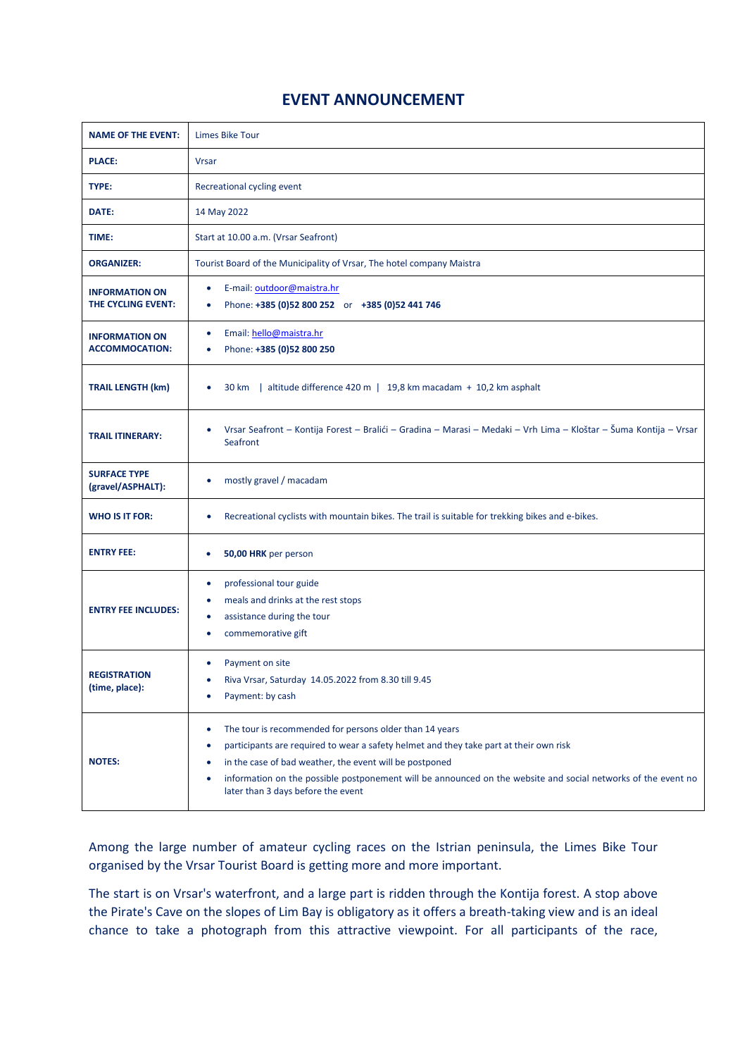## **EVENT ANNOUNCEMENT**

| <b>NAME OF THE EVENT:</b>                          | <b>Limes Bike Tour</b>                                                                                                                                                                                                                                                                                                                                                                  |
|----------------------------------------------------|-----------------------------------------------------------------------------------------------------------------------------------------------------------------------------------------------------------------------------------------------------------------------------------------------------------------------------------------------------------------------------------------|
| <b>PLACE:</b>                                      | <b>Vrsar</b>                                                                                                                                                                                                                                                                                                                                                                            |
| TYPE:                                              | Recreational cycling event                                                                                                                                                                                                                                                                                                                                                              |
| DATE:                                              | 14 May 2022                                                                                                                                                                                                                                                                                                                                                                             |
| TIME:                                              | Start at 10.00 a.m. (Vrsar Seafront)                                                                                                                                                                                                                                                                                                                                                    |
| <b>ORGANIZER:</b>                                  | Tourist Board of the Municipality of Vrsar, The hotel company Maistra                                                                                                                                                                                                                                                                                                                   |
| <b>INFORMATION ON</b><br><b>THE CYCLING EVENT:</b> | E-mail: outdoor@maistra.hr<br>$\bullet$<br>Phone: +385 (0)52 800 252 or +385 (0)52 441 746<br>$\bullet$                                                                                                                                                                                                                                                                                 |
| <b>INFORMATION ON</b><br><b>ACCOMMOCATION:</b>     | Email: hello@maistra.hr<br>٠<br>Phone: +385 (0)52 800 250<br>٠                                                                                                                                                                                                                                                                                                                          |
| <b>TRAIL LENGTH (km)</b>                           | 30 km   altitude difference 420 m   19,8 km macadam + 10,2 km asphalt                                                                                                                                                                                                                                                                                                                   |
| <b>TRAIL ITINERARY:</b>                            | Vrsar Seafront – Kontija Forest – Bralići – Gradina – Marasi – Medaki – Vrh Lima – Kloštar – Šuma Kontija – Vrsar<br>٠<br>Seafront                                                                                                                                                                                                                                                      |
| <b>SURFACE TYPE</b><br>(gravel/ASPHALT):           | mostly gravel / macadam<br>٠                                                                                                                                                                                                                                                                                                                                                            |
| <b>WHO IS IT FOR:</b>                              | Recreational cyclists with mountain bikes. The trail is suitable for trekking bikes and e-bikes.<br>٠                                                                                                                                                                                                                                                                                   |
| <b>ENTRY FEE:</b>                                  | 50,00 HRK per person<br>$\bullet$                                                                                                                                                                                                                                                                                                                                                       |
| <b>ENTRY FEE INCLUDES:</b>                         | professional tour guide<br>$\bullet$<br>meals and drinks at the rest stops<br>٠<br>assistance during the tour<br>$\bullet$<br>commemorative gift<br>٠                                                                                                                                                                                                                                   |
| <b>REGISTRATION</b><br>(time, place):              | Payment on site<br>٠<br>Riva Vrsar, Saturday 14.05.2022 from 8.30 till 9.45<br>$\bullet$<br>Payment: by cash<br>٠                                                                                                                                                                                                                                                                       |
| <b>NOTES:</b>                                      | The tour is recommended for persons older than 14 years<br>٠<br>participants are required to wear a safety helmet and they take part at their own risk<br>٠<br>in the case of bad weather, the event will be postponed<br>٠<br>information on the possible postponement will be announced on the website and social networks of the event no<br>٠<br>later than 3 days before the event |

Among the large number of amateur cycling races on the Istrian peninsula, the Limes Bike Tour organised by the Vrsar Tourist Board is getting more and more important.

The start is on Vrsar's waterfront, and a large part is ridden through the Kontija forest. A stop above the Pirate's Cave on the slopes of Lim Bay is obligatory as it offers a breath-taking view and is an ideal chance to take a photograph from this attractive viewpoint. For all participants of the race,